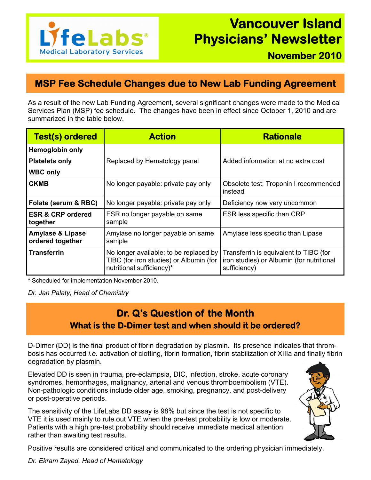

## **MSP Fee Schedule Changes due to New Lab Funding Agreement**

As a result of the new Lab Funding Agreement, several significant changes were made to the Medical Services Plan (MSP) fee schedule. The changes have been in effect since October 1, 2010 and are summarized in the table below.

| <b>Test(s) ordered</b>                          | <b>Action</b>                                                                                                  | <b>Rationale</b>                                                                                    |
|-------------------------------------------------|----------------------------------------------------------------------------------------------------------------|-----------------------------------------------------------------------------------------------------|
| <b>Hemoglobin only</b>                          |                                                                                                                |                                                                                                     |
| <b>Platelets only</b>                           | Replaced by Hematology panel                                                                                   | Added information at no extra cost                                                                  |
| <b>WBC only</b>                                 |                                                                                                                |                                                                                                     |
| <b>CKMB</b>                                     | No longer payable: private pay only                                                                            | Obsolete test; Troponin I recommended<br>instead                                                    |
| Folate (serum & RBC)                            | No longer payable: private pay only                                                                            | Deficiency now very uncommon                                                                        |
| <b>ESR &amp; CRP ordered</b><br>together        | ESR no longer payable on same<br>sample                                                                        | ESR less specific than CRP                                                                          |
| <b>Amylase &amp; Lipase</b><br>ordered together | Amylase no longer payable on same<br>sample                                                                    | Amylase less specific than Lipase                                                                   |
| <b>Transferrin</b>                              | No longer available: to be replaced by<br>TIBC (for iron studies) or Albumin (for<br>nutritional sufficiency)* | Transferrin is equivalent to TIBC (for<br>iron studies) or Albumin (for nutritional<br>sufficiency) |

\* Scheduled for implementation November 2010.

*Dr. Jan Palaty, Head of Chemistry* 

## **Dr. Q's Question of the Month What is the D-Dimer test and when should it be ordered?**

D-Dimer (DD) is the final product of fibrin degradation by plasmin. Its presence indicates that thrombosis has occurred *i.e.* activation of clotting, fibrin formation, fibrin stabilization of XIIIa and finally fibrin degradation by plasmin.

Elevated DD is seen in trauma, pre-eclampsia, DIC, infection, stroke, acute coronary syndromes, hemorrhages, malignancy, arterial and venous thromboembolism (VTE). Non-pathologic conditions include older age, smoking, pregnancy, and post-delivery or post-operative periods.

The sensitivity of the LifeLabs DD assay is 98% but since the test is not specific to VTE it is used mainly to rule out VTE when the pre-test probability is low or moderate. Patients with a high pre-test probability should receive immediate medical attention rather than awaiting test results.



Positive results are considered critical and communicated to the ordering physician immediately.